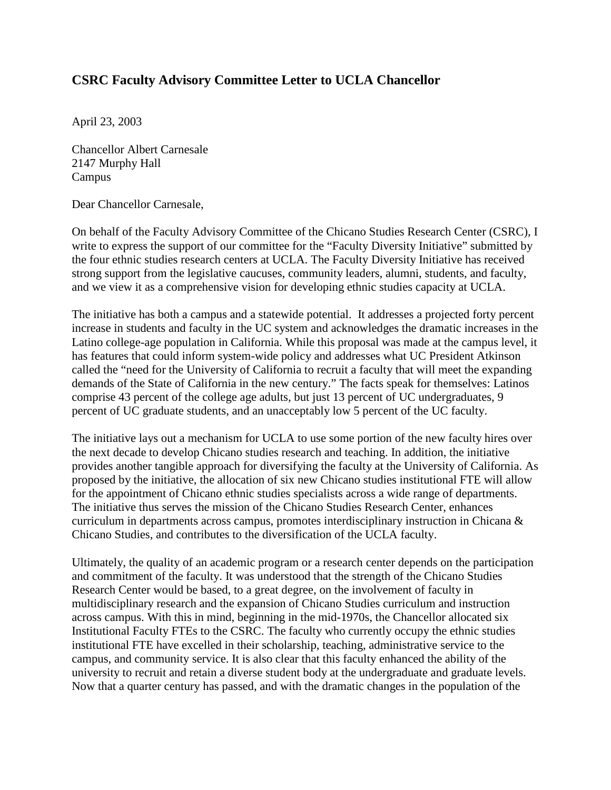## **CSRC Faculty Advisory Committee Letter to UCLA Chancellor**

April 23, 2003

Chancellor Albert Carnesale 2147 Murphy Hall Campus

Dear Chancellor Carnesale,

On behalf of the Faculty Advisory Committee of the Chicano Studies Research Center (CSRC), I write to express the support of our committee for the "Faculty Diversity Initiative" submitted by the four ethnic studies research centers at UCLA. The Faculty Diversity Initiative has received strong support from the legislative caucuses, community leaders, alumni, students, and faculty, and we view it as a comprehensive vision for developing ethnic studies capacity at UCLA.

The initiative has both a campus and a statewide potential. It addresses a projected forty percent increase in students and faculty in the UC system and acknowledges the dramatic increases in the Latino college-age population in California. While this proposal was made at the campus level, it has features that could inform system-wide policy and addresses what UC President Atkinson called the "need for the University of California to recruit a faculty that will meet the expanding demands of the State of California in the new century." The facts speak for themselves: Latinos comprise 43 percent of the college age adults, but just 13 percent of UC undergraduates, 9 percent of UC graduate students, and an unacceptably low 5 percent of the UC faculty.

The initiative lays out a mechanism for UCLA to use some portion of the new faculty hires over the next decade to develop Chicano studies research and teaching. In addition, the initiative provides another tangible approach for diversifying the faculty at the University of California. As proposed by the initiative, the allocation of six new Chicano studies institutional FTE will allow for the appointment of Chicano ethnic studies specialists across a wide range of departments. The initiative thus serves the mission of the Chicano Studies Research Center, enhances curriculum in departments across campus, promotes interdisciplinary instruction in Chicana & Chicano Studies, and contributes to the diversification of the UCLA faculty.

Ultimately, the quality of an academic program or a research center depends on the participation and commitment of the faculty. It was understood that the strength of the Chicano Studies Research Center would be based, to a great degree, on the involvement of faculty in multidisciplinary research and the expansion of Chicano Studies curriculum and instruction across campus. With this in mind, beginning in the mid-1970s, the Chancellor allocated six Institutional Faculty FTEs to the CSRC. The faculty who currently occupy the ethnic studies institutional FTE have excelled in their scholarship, teaching, administrative service to the campus, and community service. It is also clear that this faculty enhanced the ability of the university to recruit and retain a diverse student body at the undergraduate and graduate levels. Now that a quarter century has passed, and with the dramatic changes in the population of the